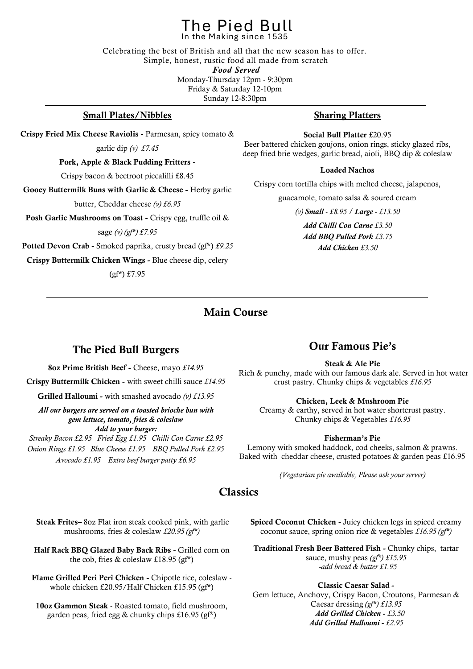## In the Making since 1535 The Pied Bull

Celebrating the best of British and all that the new season has to offer. Simple, honest, rustic food all made from scratch *Food Served*  Monday-Thursday 12pm - 9:30pm Friday & Saturday 12-10pm Sunday 12-8:30pm

## Small Plates/Nibbles

Crispy Fried Mix Cheese Raviolis - Parmesan, spicy tomato &

garlic dip *(v) £7.45*

Pork, Apple & Black Pudding Fritters -

Crispy bacon & beetroot piccalilli £8.45

Gooey Buttermilk Buns with Garlic & Cheese - Herby garlic

butter, Cheddar cheese *(v) £6.95*

Posh Garlic Mushrooms on Toast - Crispy egg, truffle oil &

sage *(v) (gf\*) £7.95*

Potted Devon Crab - Smoked paprika, crusty bread (gf\*) *£9.25*

Crispy Buttermilk Chicken Wings - Blue cheese dip, celery

(gf\*) £7.95

## Sharing Platters

Social Bull Platter £20.95

Beer battered chicken goujons, onion rings, sticky glazed ribs, deep fried brie wedges, garlic bread, aioli, BBQ dip & coleslaw

#### Loaded Nachos

Crispy corn tortilla chips with melted cheese, jalapenos,

guacamole, tomato salsa & soured cream

*(v) Small - £8.95 / Large - £13.50*

*Add Chilli Con Carne £3.50 Add BBQ Pulled Pork £3.75 Add Chicken £3.50*

## Main Course

## The Pied Bull Burgers

8oz Prime British Beef - Cheese, mayo *£14.95*

Crispy Buttermilk Chicken - with sweet chilli sauce *£14.95*

Grilled Halloumi - with smashed avocado *(v) £13.95*

*All our burgers are served on a toasted brioche bun with gem lettuce, tomato, fries & coleslaw Add to your burger:*

*Streaky Bacon £2.95 Fried Egg £1.95 Chilli Con Carne £2.95 Onion Rings £1.95 Blue Cheese £1.95 BBQ Pulled Pork £2.95 Avocado £1.95 Extra beef burger patty £6.95*

## Our Famous Pie's

Steak & Ale Pie

Rich & punchy, made with our famous dark ale. Served in hot water crust pastry. Chunky chips & vegetables *£16.95*

### Chicken, Leek & Mushroom Pie

Creamy & earthy, served in hot water shortcrust pastry. Chunky chips & Vegetables *£16.95*

#### Fisherman's Pie

Lemony with smoked haddock, cod cheeks, salmon & prawns. Baked with cheddar cheese, crusted potatoes & garden peas £16.95

*(Vegetarian pie available, Please ask your server)*

## **Classics**

Steak Frites– 8oz Flat iron steak cooked pink, with garlic mushrooms, fries & coleslaw *£20.95 (gf\*)* 

Half Rack BBQ Glazed Baby Back Ribs - Grilled corn on the cob, fries  $&$  coleslaw £18.95 (gf\*)

Flame Grilled Peri Peri Chicken - Chipotle rice, coleslaw whole chicken £20.95/Half Chicken £15.95 (gf\*)

10oz Gammon Steak - Roasted tomato, field mushroom, garden peas, fried egg & chunky chips £16.95 (gf\*)

Spiced Coconut Chicken - Juicy chicken legs in spiced creamy coconut sauce, spring onion rice & vegetables *£16.95 (gf\*)*

Traditional Fresh Beer Battered Fish - Chunky chips, tartar sauce, mushy peas *(gf\*) £15.95 -add bread & butter £1.95* 

Classic Caesar Salad - Gem lettuce, Anchovy, Crispy Bacon, Croutons, Parmesan & Caesar dressing *(gf\*) £13.95 Add Grilled Chicken - £3.50 Add Grilled Halloumi - £2.95*